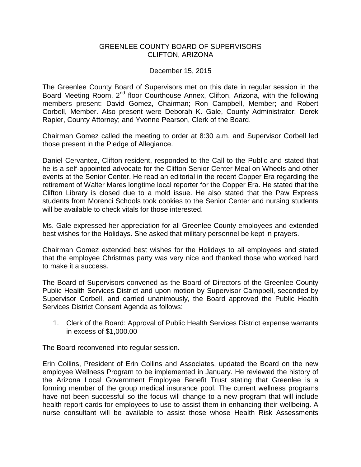## GREENLEE COUNTY BOARD OF SUPERVISORS CLIFTON, ARIZONA

## December 15, 2015

The Greenlee County Board of Supervisors met on this date in regular session in the Board Meeting Room, 2<sup>nd</sup> floor Courthouse Annex, Clifton, Arizona, with the following members present: David Gomez, Chairman; Ron Campbell, Member; and Robert Corbell, Member. Also present were Deborah K. Gale, County Administrator; Derek Rapier, County Attorney; and Yvonne Pearson, Clerk of the Board.

Chairman Gomez called the meeting to order at 8:30 a.m. and Supervisor Corbell led those present in the Pledge of Allegiance.

Daniel Cervantez, Clifton resident, responded to the Call to the Public and stated that he is a self-appointed advocate for the Clifton Senior Center Meal on Wheels and other events at the Senior Center. He read an editorial in the recent Copper Era regarding the retirement of Walter Mares longtime local reporter for the Copper Era. He stated that the Clifton Library is closed due to a mold issue. He also stated that the Paw Express students from Morenci Schools took cookies to the Senior Center and nursing students will be available to check vitals for those interested.

Ms. Gale expressed her appreciation for all Greenlee County employees and extended best wishes for the Holidays. She asked that military personnel be kept in prayers.

Chairman Gomez extended best wishes for the Holidays to all employees and stated that the employee Christmas party was very nice and thanked those who worked hard to make it a success.

The Board of Supervisors convened as the Board of Directors of the Greenlee County Public Health Services District and upon motion by Supervisor Campbell, seconded by Supervisor Corbell, and carried unanimously, the Board approved the Public Health Services District Consent Agenda as follows:

1. Clerk of the Board: Approval of Public Health Services District expense warrants in excess of \$1,000.00

The Board reconvened into regular session.

Erin Collins, President of Erin Collins and Associates, updated the Board on the new employee Wellness Program to be implemented in January. He reviewed the history of the Arizona Local Government Employee Benefit Trust stating that Greenlee is a forming member of the group medical insurance pool. The current wellness programs have not been successful so the focus will change to a new program that will include health report cards for employees to use to assist them in enhancing their wellbeing. A nurse consultant will be available to assist those whose Health Risk Assessments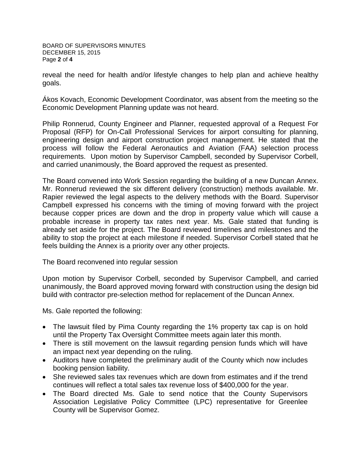BOARD OF SUPERVISORS MINUTES DECEMBER 15, 2015 Page **2** of **4**

reveal the need for health and/or lifestyle changes to help plan and achieve healthy goals.

Ákos Kovach, Economic Development Coordinator, was absent from the meeting so the Economic Development Planning update was not heard.

Philip Ronnerud, County Engineer and Planner, requested approval of a Request For Proposal (RFP) for On-Call Professional Services for airport consulting for planning, engineering design and airport construction project management. He stated that the process will follow the Federal Aeronautics and Aviation (FAA) selection process requirements. Upon motion by Supervisor Campbell, seconded by Supervisor Corbell, and carried unanimously, the Board approved the request as presented.

The Board convened into Work Session regarding the building of a new Duncan Annex. Mr. Ronnerud reviewed the six different delivery (construction) methods available. Mr. Rapier reviewed the legal aspects to the delivery methods with the Board. Supervisor Campbell expressed his concerns with the timing of moving forward with the project because copper prices are down and the drop in property value which will cause a probable increase in property tax rates next year. Ms. Gale stated that funding is already set aside for the project. The Board reviewed timelines and milestones and the ability to stop the project at each milestone if needed. Supervisor Corbell stated that he feels building the Annex is a priority over any other projects.

The Board reconvened into regular session

Upon motion by Supervisor Corbell, seconded by Supervisor Campbell, and carried unanimously, the Board approved moving forward with construction using the design bid build with contractor pre-selection method for replacement of the Duncan Annex.

Ms. Gale reported the following:

- The lawsuit filed by Pima County regarding the 1% property tax cap is on hold until the Property Tax Oversight Committee meets again later this month.
- There is still movement on the lawsuit regarding pension funds which will have an impact next year depending on the ruling.
- Auditors have completed the preliminary audit of the County which now includes booking pension liability.
- She reviewed sales tax revenues which are down from estimates and if the trend continues will reflect a total sales tax revenue loss of \$400,000 for the year.
- The Board directed Ms. Gale to send notice that the County Supervisors Association Legislative Policy Committee (LPC) representative for Greenlee County will be Supervisor Gomez.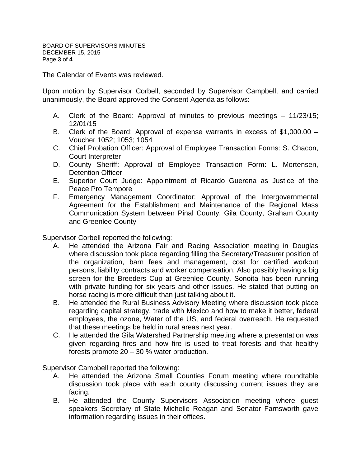The Calendar of Events was reviewed.

Upon motion by Supervisor Corbell, seconded by Supervisor Campbell, and carried unanimously, the Board approved the Consent Agenda as follows:

- A. Clerk of the Board: Approval of minutes to previous meetings 11/23/15; 12/01/15
- B. Clerk of the Board: Approval of expense warrants in excess of \$1,000.00 Voucher 1052; 1053; 1054
- C. Chief Probation Officer: Approval of Employee Transaction Forms: S. Chacon, Court Interpreter
- D. County Sheriff: Approval of Employee Transaction Form: L. Mortensen, Detention Officer
- E. Superior Court Judge: Appointment of Ricardo Guerena as Justice of the Peace Pro Tempore
- F. Emergency Management Coordinator: Approval of the Intergovernmental Agreement for the Establishment and Maintenance of the Regional Mass Communication System between Pinal County, Gila County, Graham County and Greenlee County

Supervisor Corbell reported the following:

- A. He attended the Arizona Fair and Racing Association meeting in Douglas where discussion took place regarding filling the Secretary/Treasurer position of the organization, barn fees and management, cost for certified workout persons, liability contracts and worker compensation. Also possibly having a big screen for the Breeders Cup at Greenlee County, Sonoita has been running with private funding for six years and other issues. He stated that putting on horse racing is more difficult than just talking about it.
- B. He attended the Rural Business Advisory Meeting where discussion took place regarding capital strategy, trade with Mexico and how to make it better, federal employees, the ozone, Water of the US, and federal overreach. He requested that these meetings be held in rural areas next year.
- C. He attended the Gila Watershed Partnership meeting where a presentation was given regarding fires and how fire is used to treat forests and that healthy forests promote 20 – 30 % water production.

Supervisor Campbell reported the following:

- A. He attended the Arizona Small Counties Forum meeting where roundtable discussion took place with each county discussing current issues they are facing.
- B. He attended the County Supervisors Association meeting where guest speakers Secretary of State Michelle Reagan and Senator Farnsworth gave information regarding issues in their offices.